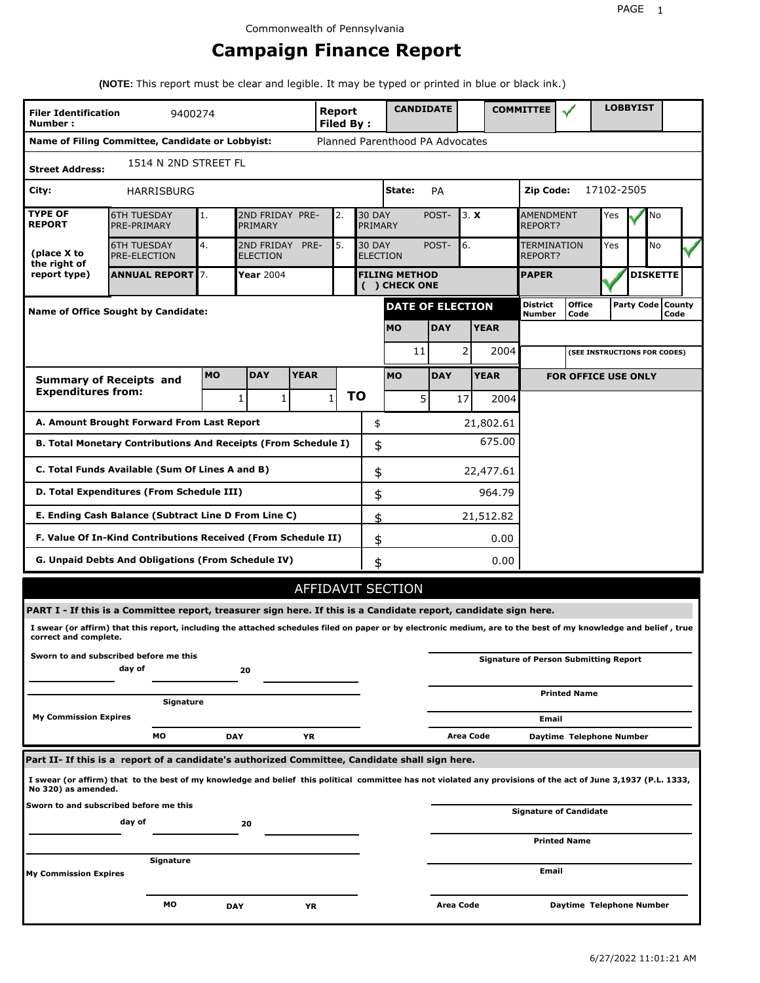# **Campaign Finance Report**

**(NOTE:** This report must be clear and legible. It may be typed or printed in blue or black ink.)

| <b>Filer Identification</b><br>Number:                                                                                                                                                | 9400274                                                                                                                                                         |           |                 |                                                                       | <b>Report</b><br><b>Filed By:</b> |    | <b>CANDIDATE</b>                     |                                    |             |                               | <b>COMMITTEE</b>                 |                                              |            | <b>LOBBYIST</b> |                             |  |
|---------------------------------------------------------------------------------------------------------------------------------------------------------------------------------------|-----------------------------------------------------------------------------------------------------------------------------------------------------------------|-----------|-----------------|-----------------------------------------------------------------------|-----------------------------------|----|--------------------------------------|------------------------------------|-------------|-------------------------------|----------------------------------|----------------------------------------------|------------|-----------------|-----------------------------|--|
|                                                                                                                                                                                       | Name of Filing Committee, Candidate or Lobbyist:                                                                                                                |           |                 |                                                                       |                                   |    | Planned Parenthood PA Advocates      |                                    |             |                               |                                  |                                              |            |                 |                             |  |
| 1514 N 2ND STREET FL<br><b>Street Address:</b>                                                                                                                                        |                                                                                                                                                                 |           |                 |                                                                       |                                   |    |                                      |                                    |             |                               |                                  |                                              |            |                 |                             |  |
| City:                                                                                                                                                                                 | HARRISBURG                                                                                                                                                      |           |                 |                                                                       |                                   |    | State:                               | <b>PA</b>                          |             |                               | Zip Code:                        |                                              | 17102-2505 |                 |                             |  |
| <b>TYPE OF</b><br><b>REPORT</b>                                                                                                                                                       | <b>6TH TUESDAY</b><br>PRE-PRIMARY                                                                                                                               | 1.        | PRIMARY         | 2ND FRIDAY PRE-<br><b>30 DAY</b><br>POST-<br>3. X<br>2.<br>PRIMARY    |                                   |    |                                      | <b>AMENDMENT</b><br><b>REPORT?</b> | Yes         |                               | No                               |                                              |            |                 |                             |  |
| (place X to<br>the right of                                                                                                                                                           | <b>6TH TUESDAY</b><br><b>PRE-ELECTION</b>                                                                                                                       | 4.        | <b>ELECTION</b> | 2ND FRIDAY<br>PRE-<br>5.<br><b>30 DAY</b><br>POST-<br><b>ELECTION</b> |                                   |    |                                      | 6.                                 |             | <b>TERMINATION</b><br>REPORT? | Yes                              |                                              | No         |                 |                             |  |
| report type)                                                                                                                                                                          | <b>ANNUAL REPORT</b> 7.                                                                                                                                         |           | Year 2004       |                                                                       |                                   |    | <b>FILING METHOD</b><br>() CHECK ONE |                                    |             |                               | <b>PAPER</b>                     |                                              |            |                 | <b>DISKETTE</b>             |  |
|                                                                                                                                                                                       | Name of Office Sought by Candidate:                                                                                                                             |           |                 |                                                                       |                                   |    | <b>DATE OF ELECTION</b>              |                                    |             |                               | <b>District</b><br><b>Number</b> | <b>Office</b><br>Code                        |            |                 | Party Code   County<br>Code |  |
|                                                                                                                                                                                       |                                                                                                                                                                 |           |                 |                                                                       |                                   |    | <b>MO</b>                            | <b>DAY</b>                         | <b>YEAR</b> |                               |                                  |                                              |            |                 |                             |  |
|                                                                                                                                                                                       |                                                                                                                                                                 |           |                 |                                                                       |                                   |    | 11                                   |                                    | 2           | 2004                          |                                  | (SEE INSTRUCTIONS FOR CODES)                 |            |                 |                             |  |
|                                                                                                                                                                                       | <b>Summary of Receipts and</b>                                                                                                                                  | <b>MO</b> | <b>DAY</b>      | <b>YEAR</b>                                                           |                                   |    | <b>MO</b>                            | <b>DAY</b>                         | <b>YEAR</b> |                               |                                  | <b>FOR OFFICE USE ONLY</b>                   |            |                 |                             |  |
| <b>Expenditures from:</b>                                                                                                                                                             |                                                                                                                                                                 |           | 1<br>1          |                                                                       | $\mathbf{1}$                      | ΤO | 5 <sup>1</sup>                       |                                    | 17          | 2004                          |                                  |                                              |            |                 |                             |  |
|                                                                                                                                                                                       | A. Amount Brought Forward From Last Report                                                                                                                      |           |                 |                                                                       |                                   | \$ |                                      |                                    |             | 21,802.61                     |                                  |                                              |            |                 |                             |  |
|                                                                                                                                                                                       | B. Total Monetary Contributions And Receipts (From Schedule I)                                                                                                  |           |                 |                                                                       |                                   |    | \$                                   |                                    |             | 675.00                        |                                  |                                              |            |                 |                             |  |
| C. Total Funds Available (Sum Of Lines A and B)<br>\$<br>22,477.61                                                                                                                    |                                                                                                                                                                 |           |                 |                                                                       |                                   |    |                                      |                                    |             |                               |                                  |                                              |            |                 |                             |  |
|                                                                                                                                                                                       | D. Total Expenditures (From Schedule III)                                                                                                                       |           |                 |                                                                       |                                   |    | \$                                   |                                    |             | 964.79                        |                                  |                                              |            |                 |                             |  |
|                                                                                                                                                                                       | E. Ending Cash Balance (Subtract Line D From Line C)                                                                                                            |           |                 |                                                                       |                                   |    | \$                                   |                                    | 21,512.82   |                               |                                  |                                              |            |                 |                             |  |
|                                                                                                                                                                                       | F. Value Of In-Kind Contributions Received (From Schedule II)                                                                                                   |           |                 |                                                                       |                                   |    | \$                                   |                                    |             | 0.00                          |                                  |                                              |            |                 |                             |  |
|                                                                                                                                                                                       | <b>G. Unpaid Debts And Obligations (From Schedule IV)</b>                                                                                                       |           |                 |                                                                       |                                   |    | 0.00<br>\$                           |                                    |             |                               |                                  |                                              |            |                 |                             |  |
|                                                                                                                                                                                       |                                                                                                                                                                 |           |                 |                                                                       |                                   |    | AFFIDAVIT SECTION                    |                                    |             |                               |                                  |                                              |            |                 |                             |  |
|                                                                                                                                                                                       | PART I - If this is a Committee report, treasurer sign here. If this is a Candidate report, candidate sign here.                                                |           |                 |                                                                       |                                   |    |                                      |                                    |             |                               |                                  |                                              |            |                 |                             |  |
| correct and complete.                                                                                                                                                                 | I swear (or affirm) that this report, including the attached schedules filed on paper or by electronic medium, are to the best of my knowledge and belief, true |           |                 |                                                                       |                                   |    |                                      |                                    |             |                               |                                  |                                              |            |                 |                             |  |
|                                                                                                                                                                                       | Sworn to and subscribed before me this<br>day of                                                                                                                |           | 20              |                                                                       |                                   |    |                                      |                                    |             |                               |                                  | <b>Signature of Person Submitting Report</b> |            |                 |                             |  |
|                                                                                                                                                                                       | Signature                                                                                                                                                       |           |                 |                                                                       |                                   |    |                                      |                                    |             |                               |                                  | <b>Printed Name</b>                          |            |                 |                             |  |
| <b>My Commission Expires</b>                                                                                                                                                          |                                                                                                                                                                 |           |                 |                                                                       |                                   |    |                                      |                                    |             |                               | Email                            |                                              |            |                 |                             |  |
|                                                                                                                                                                                       | МO                                                                                                                                                              |           | <b>DAY</b>      | YR                                                                    |                                   |    |                                      |                                    | Area Code   |                               |                                  | Daytime Telephone Number                     |            |                 |                             |  |
|                                                                                                                                                                                       | Part II- If this is a report of a candidate's authorized Committee, Candidate shall sign here.                                                                  |           |                 |                                                                       |                                   |    |                                      |                                    |             |                               |                                  |                                              |            |                 |                             |  |
| I swear (or affirm) that to the best of my knowledge and belief this political committee has not violated any provisions of the act of June 3,1937 (P.L. 1333,<br>No 320) as amended. |                                                                                                                                                                 |           |                 |                                                                       |                                   |    |                                      |                                    |             |                               |                                  |                                              |            |                 |                             |  |
|                                                                                                                                                                                       | Sworn to and subscribed before me this<br>day of                                                                                                                |           | 20              |                                                                       |                                   |    |                                      |                                    |             |                               |                                  | <b>Signature of Candidate</b>                |            |                 |                             |  |
|                                                                                                                                                                                       |                                                                                                                                                                 |           |                 |                                                                       |                                   |    |                                      |                                    |             |                               |                                  | <b>Printed Name</b>                          |            |                 |                             |  |
| My Commission Expires                                                                                                                                                                 | Signature                                                                                                                                                       |           |                 |                                                                       |                                   |    |                                      |                                    |             |                               | Email                            |                                              |            |                 |                             |  |
|                                                                                                                                                                                       | МO                                                                                                                                                              |           | <b>DAY</b>      | ΥR                                                                    |                                   |    |                                      | <b>Area Code</b>                   |             |                               |                                  | Daytime Telephone Number                     |            |                 |                             |  |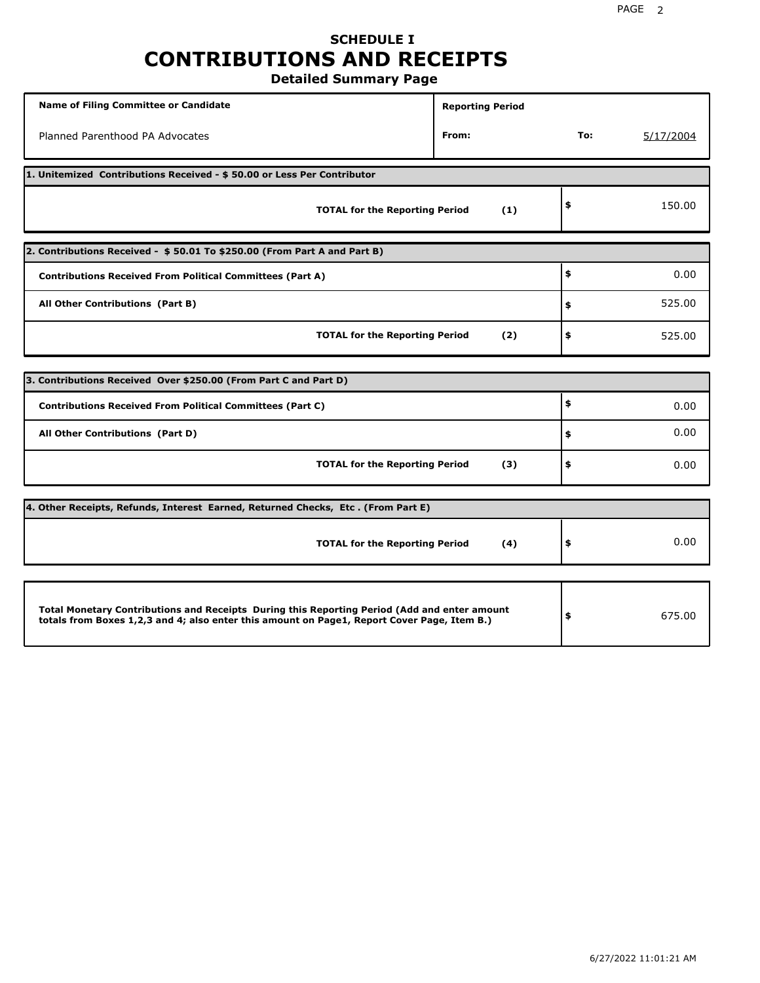# **SCHEDULE I CONTRIBUTIONS AND RECEIPTS**

**Detailed Summary Page**

| <b>Name of Filing Committee or Candidate</b>                                                                                                                                                | <b>Reporting Period</b> |     |           |  |  |  |  |  |  |
|---------------------------------------------------------------------------------------------------------------------------------------------------------------------------------------------|-------------------------|-----|-----------|--|--|--|--|--|--|
| Planned Parenthood PA Advocates                                                                                                                                                             | From:                   | To: | 5/17/2004 |  |  |  |  |  |  |
| 1. Unitemized Contributions Received - \$50.00 or Less Per Contributor                                                                                                                      |                         |     |           |  |  |  |  |  |  |
| <b>TOTAL for the Reporting Period</b>                                                                                                                                                       | (1)                     | \$  | 150.00    |  |  |  |  |  |  |
| 2. Contributions Received - \$50.01 To \$250.00 (From Part A and Part B)                                                                                                                    |                         |     |           |  |  |  |  |  |  |
| <b>Contributions Received From Political Committees (Part A)</b>                                                                                                                            |                         | \$  | 0.00      |  |  |  |  |  |  |
| All Other Contributions (Part B)                                                                                                                                                            |                         | \$  | 525.00    |  |  |  |  |  |  |
| <b>TOTAL for the Reporting Period</b>                                                                                                                                                       | (2)                     | \$  | 525.00    |  |  |  |  |  |  |
|                                                                                                                                                                                             |                         |     |           |  |  |  |  |  |  |
| 3. Contributions Received Over \$250.00 (From Part C and Part D)                                                                                                                            |                         |     |           |  |  |  |  |  |  |
| <b>Contributions Received From Political Committees (Part C)</b>                                                                                                                            |                         | \$  | 0.00      |  |  |  |  |  |  |
| All Other Contributions (Part D)                                                                                                                                                            |                         | \$  | 0.00      |  |  |  |  |  |  |
| <b>TOTAL for the Reporting Period</b>                                                                                                                                                       | (3)                     | \$  | 0.00      |  |  |  |  |  |  |
| 4. Other Receipts, Refunds, Interest Earned, Returned Checks, Etc. (From Part E)                                                                                                            |                         |     |           |  |  |  |  |  |  |
| <b>TOTAL for the Reporting Period</b>                                                                                                                                                       | (4)                     | \$  | 0.00      |  |  |  |  |  |  |
|                                                                                                                                                                                             |                         |     |           |  |  |  |  |  |  |
| Total Monetary Contributions and Receipts During this Reporting Period (Add and enter amount<br>totals from Boxes 1,2,3 and 4; also enter this amount on Page1, Report Cover Page, Item B.) |                         | \$  | 675.00    |  |  |  |  |  |  |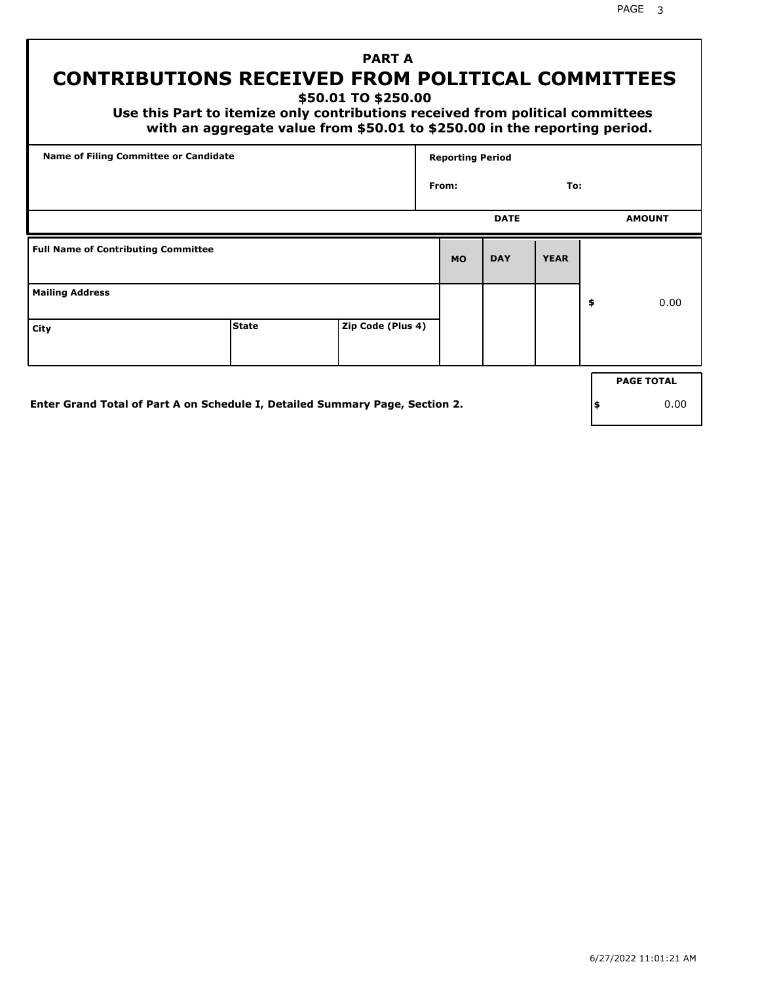PAGE 3

# **PART A CONTRIBUTIONS RECEIVED FROM POLITICAL COMMITTEES**

**\$50.01 TO \$250.00**

 **Use this Part to itemize only contributions received from political committees with an aggregate value from \$50.01 to \$250.00 in the reporting period.**

| Name of Filing Committee or Candidate      |              |                   |           | <b>Reporting Period</b> |             |    |                   |  |  |  |
|--------------------------------------------|--------------|-------------------|-----------|-------------------------|-------------|----|-------------------|--|--|--|
|                                            |              |                   | From:     |                         | To:         |    |                   |  |  |  |
|                                            |              |                   |           | <b>DATE</b>             |             |    | <b>AMOUNT</b>     |  |  |  |
| <b>Full Name of Contributing Committee</b> |              |                   | <b>MO</b> | <b>DAY</b>              | <b>YEAR</b> |    |                   |  |  |  |
| <b>Mailing Address</b>                     |              |                   |           |                         |             | \$ | 0.00              |  |  |  |
| City                                       | <b>State</b> | Zip Code (Plus 4) |           |                         |             |    |                   |  |  |  |
|                                            |              |                   |           |                         |             |    | <b>PAGE TOTAL</b> |  |  |  |
|                                            |              |                   |           |                         |             |    |                   |  |  |  |

**Enter Grand Total of Part A on Schedule I, Detailed Summary Page, Section 2.**

**\$** 0.00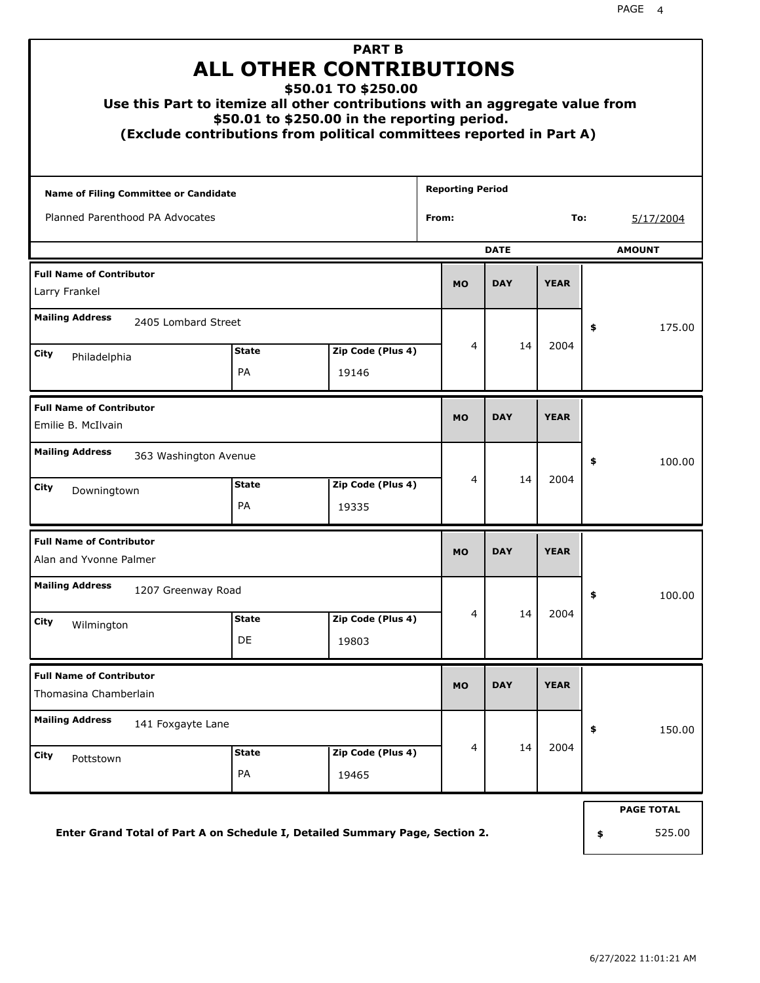| <b>PART B</b><br><b>ALL OTHER CONTRIBUTIONS</b><br>\$50.01 TO \$250.00<br>Use this Part to itemize all other contributions with an aggregate value from<br>\$50.01 to \$250.00 in the reporting period.<br>(Exclude contributions from political committees reported in Part A) |                        |                            |                         |             |             |    |                             |  |  |
|---------------------------------------------------------------------------------------------------------------------------------------------------------------------------------------------------------------------------------------------------------------------------------|------------------------|----------------------------|-------------------------|-------------|-------------|----|-----------------------------|--|--|
| <b>Name of Filing Committee or Candidate</b>                                                                                                                                                                                                                                    |                        |                            | <b>Reporting Period</b> |             |             |    |                             |  |  |
| Planned Parenthood PA Advocates                                                                                                                                                                                                                                                 |                        |                            | From:                   |             | To:         |    | 5/17/2004                   |  |  |
|                                                                                                                                                                                                                                                                                 |                        |                            |                         | <b>DATE</b> |             |    | <b>AMOUNT</b>               |  |  |
| <b>Full Name of Contributor</b><br>Larry Frankel                                                                                                                                                                                                                                |                        |                            | <b>MO</b>               | <b>DAY</b>  | <b>YEAR</b> |    |                             |  |  |
| <b>Mailing Address</b><br>2405 Lombard Street<br>City<br>Philadelphia                                                                                                                                                                                                           | 4<br>Zip Code (Plus 4) | 14                         | 2004                    | \$          | 175.00      |    |                             |  |  |
| <b>Full Name of Contributor</b><br>Emilie B. McIlvain                                                                                                                                                                                                                           |                        |                            | <b>MO</b>               | <b>DAY</b>  | <b>YEAR</b> |    |                             |  |  |
| <b>Mailing Address</b><br>363 Washington Avenue<br>City<br>Downingtown                                                                                                                                                                                                          | <b>State</b><br>PA     | Zip Code (Plus 4)<br>19335 | 4                       | 14          | 2004        | \$ | 100.00                      |  |  |
| <b>Full Name of Contributor</b><br>Alan and Yvonne Palmer                                                                                                                                                                                                                       |                        |                            | <b>MO</b>               | <b>DAY</b>  | <b>YEAR</b> |    |                             |  |  |
| <b>Mailing Address</b><br>1207 Greenway Road<br>City<br>Wilmington                                                                                                                                                                                                              | <b>State</b><br>DE     | Zip Code (Plus 4)<br>19803 | 4                       | 14          | 2004        | Ş  | 100.00                      |  |  |
| <b>Full Name of Contributor</b><br>Thomasina Chamberlain                                                                                                                                                                                                                        |                        |                            | <b>MO</b>               | <b>DAY</b>  | <b>YEAR</b> |    |                             |  |  |
| <b>Mailing Address</b><br>141 Foxgayte Lane<br>City<br>Pottstown                                                                                                                                                                                                                | <b>State</b><br>PA     | Zip Code (Plus 4)<br>19465 | $\overline{4}$          | 14          | 2004        | \$ | 150.00                      |  |  |
| Enter Grand Total of Part A on Schedule I, Detailed Summary Page, Section 2.                                                                                                                                                                                                    |                        |                            |                         |             |             | \$ | <b>PAGE TOTAL</b><br>525.00 |  |  |

**Enter Grand Total of Part A on Schedule I, Detailed Summary Page, Section 2.**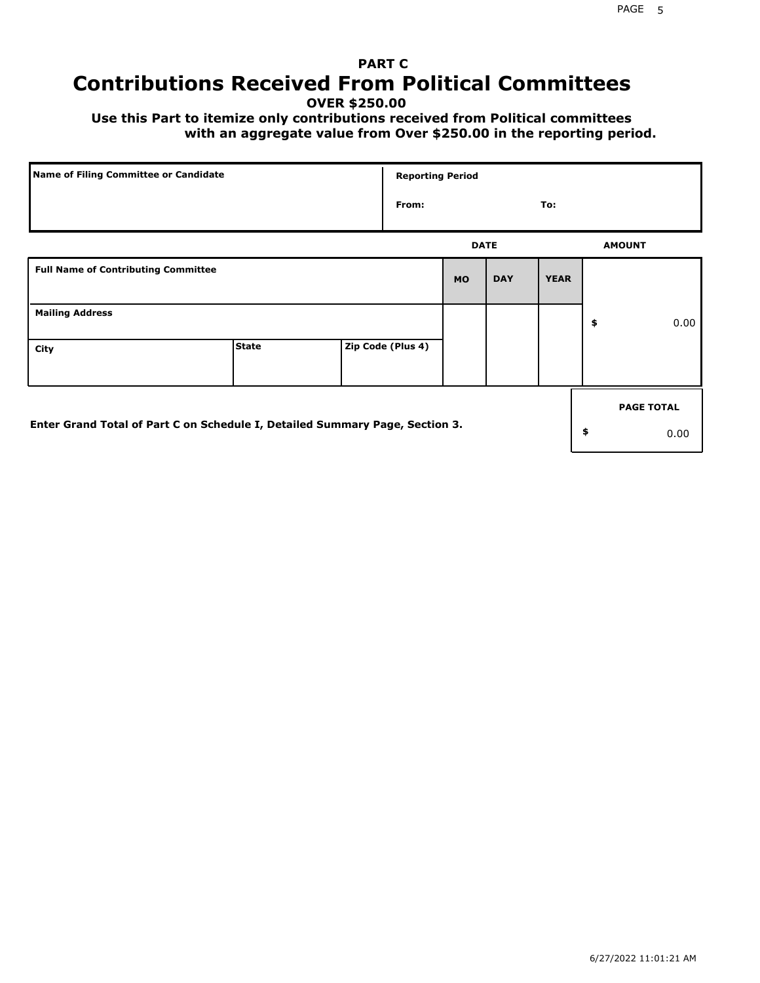# **PART C Contributions Received From Political Committees**

**OVER \$250.00**

 **Use this Part to itemize only contributions received from Political committees with an aggregate value from Over \$250.00 in the reporting period.**

| Name of Filing Committee or Candidate                                        |              |  | <b>Reporting Period</b> |             |            |             |    |                   |  |
|------------------------------------------------------------------------------|--------------|--|-------------------------|-------------|------------|-------------|----|-------------------|--|
|                                                                              |              |  | From:                   |             |            | To:         |    |                   |  |
|                                                                              |              |  |                         | <b>DATE</b> |            |             |    | <b>AMOUNT</b>     |  |
| <b>Full Name of Contributing Committee</b>                                   |              |  |                         | <b>MO</b>   | <b>DAY</b> | <b>YEAR</b> |    |                   |  |
| <b>Mailing Address</b>                                                       |              |  |                         |             |            |             | \$ | 0.00              |  |
| City                                                                         | <b>State</b> |  | Zip Code (Plus 4)       |             |            |             |    |                   |  |
|                                                                              |              |  |                         |             |            |             |    | <b>PAGE TOTAL</b> |  |
| Enter Grand Total of Part C on Schedule I, Detailed Summary Page, Section 3. |              |  |                         |             |            |             | \$ | 0.00              |  |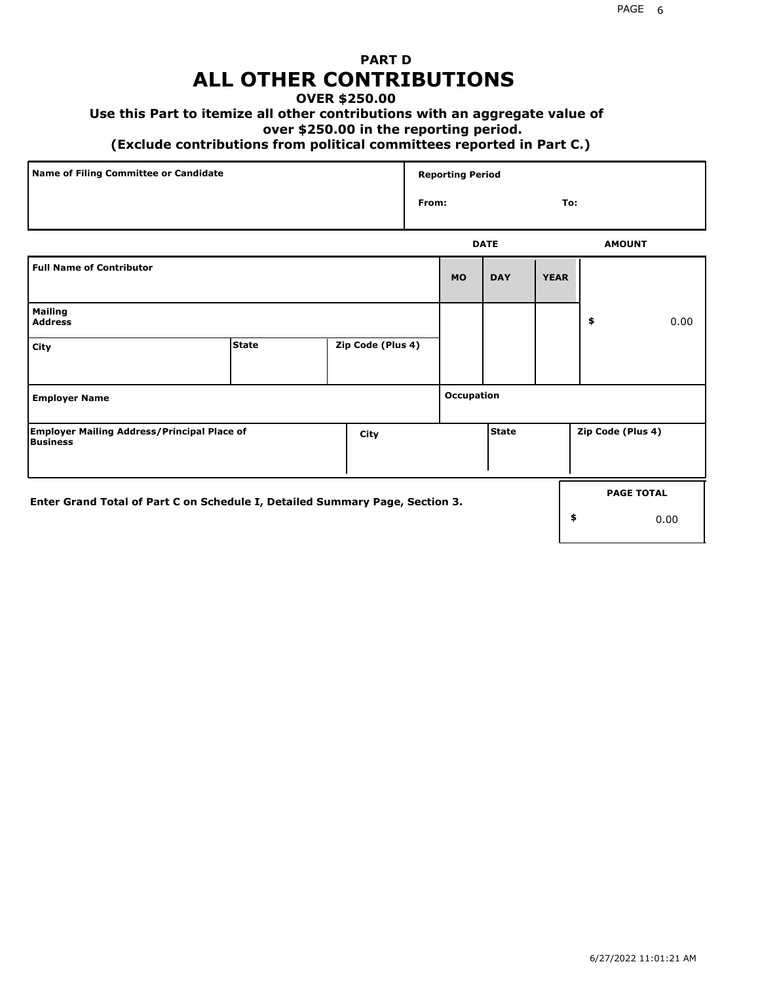# **PART D ALL OTHER CONTRIBUTIONS**

## **OVER \$250.00**

## **Use this Part to itemize all other contributions with an aggregate value of**

#### **over \$250.00 in the reporting period.**

#### **(Exclude contributions from political committees reported in Part C.)**

| Name of Filing Committee or Candidate | <b>Reporting Period</b> |               |
|---------------------------------------|-------------------------|---------------|
|                                       | From:                   | To:           |
|                                       | <b>DATE</b>             | <b>AMOUNT</b> |

| <b>Full Name of Contributor</b>                                              |              |                   | <b>MO</b>  | <b>DAY</b>   | <b>YEAR</b> |                   |                           |
|------------------------------------------------------------------------------|--------------|-------------------|------------|--------------|-------------|-------------------|---------------------------|
| <b>Mailing</b><br><b>Address</b>                                             |              |                   |            |              |             | \$                | 0.00                      |
| City                                                                         | <b>State</b> | Zip Code (Plus 4) |            |              |             |                   |                           |
| <b>Employer Name</b>                                                         |              |                   | Occupation |              |             |                   |                           |
| <b>Employer Mailing Address/Principal Place of</b><br><b>Business</b>        |              | City              |            | <b>State</b> |             | Zip Code (Plus 4) |                           |
| Enter Grand Total of Part C on Schedule I, Detailed Summary Page, Section 3. |              |                   |            |              | \$          |                   | <b>PAGE TOTAL</b><br>0.00 |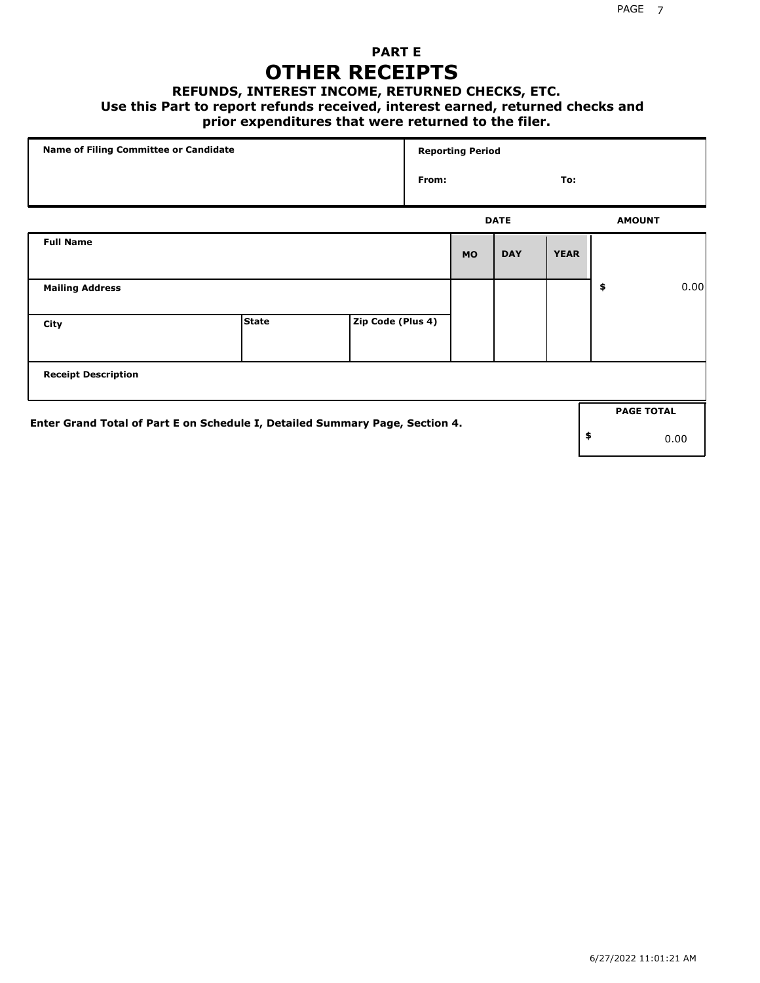# **PART E OTHER RECEIPTS**

#### **REFUNDS, INTEREST INCOME, RETURNED CHECKS, ETC.**

 **Use this Part to report refunds received, interest earned, returned checks and**

## **prior expenditures that were returned to the filer.**

| Name of Filing Committee or Candidate                                        |              |                   |       | <b>Reporting Period</b> |             |             |                   |      |
|------------------------------------------------------------------------------|--------------|-------------------|-------|-------------------------|-------------|-------------|-------------------|------|
|                                                                              |              |                   | From: |                         |             | To:         |                   |      |
|                                                                              |              |                   |       |                         | <b>DATE</b> |             | <b>AMOUNT</b>     |      |
| <b>Full Name</b>                                                             |              |                   |       | <b>MO</b>               | <b>DAY</b>  | <b>YEAR</b> |                   |      |
| <b>Mailing Address</b>                                                       |              |                   |       |                         |             |             | \$                | 0.00 |
| City                                                                         | <b>State</b> | Zip Code (Plus 4) |       |                         |             |             |                   |      |
| <b>Receipt Description</b>                                                   |              |                   |       |                         |             |             |                   |      |
| Enter Grand Total of Part E on Schedule I, Detailed Summary Page, Section 4. |              |                   |       |                         |             |             | <b>PAGE TOTAL</b> |      |
|                                                                              |              |                   |       |                         |             |             | \$                | 0.00 |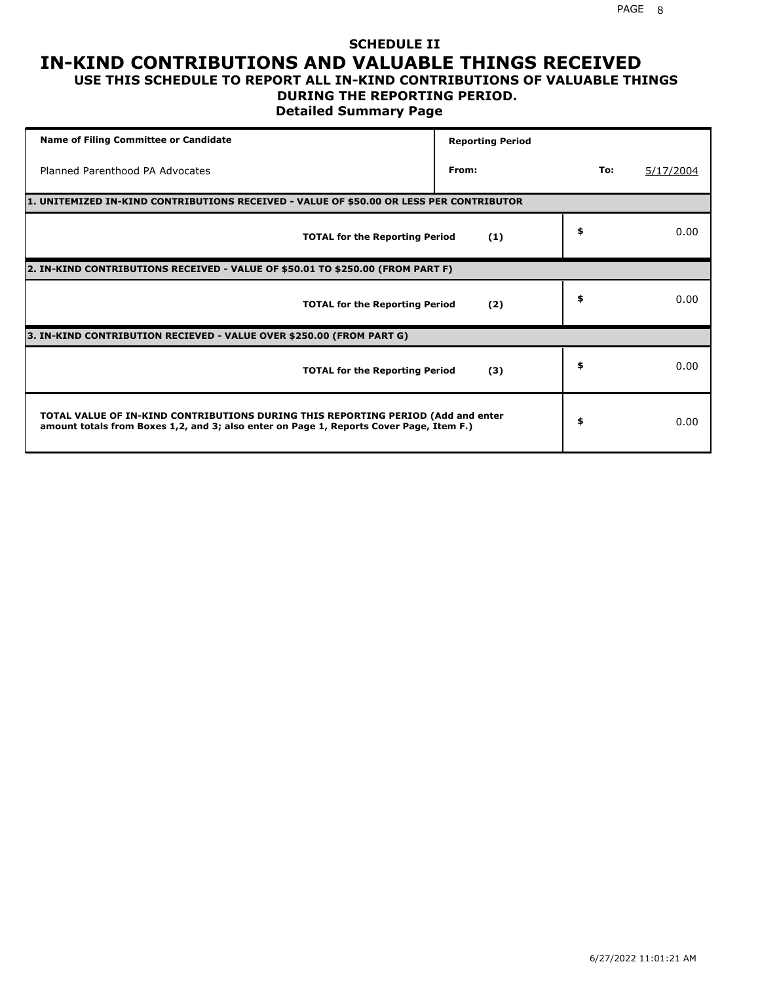### **SCHEDULE II IN-KIND CONTRIBUTIONS AND VALUABLE THINGS RECEIVED USE THIS SCHEDULE TO REPORT ALL IN-KIND CONTRIBUTIONS OF VALUABLE THINGS**

## **DURING THE REPORTING PERIOD.**

**Detailed Summary Page**

| <b>Name of Filing Committee or Candidate</b>                                                                                                                                | <b>Reporting Period</b> |     |           |
|-----------------------------------------------------------------------------------------------------------------------------------------------------------------------------|-------------------------|-----|-----------|
| Planned Parenthood PA Advocates                                                                                                                                             | From:                   | To: | 5/17/2004 |
| 1. UNITEMIZED IN-KIND CONTRIBUTIONS RECEIVED - VALUE OF \$50.00 OR LESS PER CONTRIBUTOR                                                                                     |                         |     |           |
| <b>TOTAL for the Reporting Period</b>                                                                                                                                       | (1)                     | \$  | 0.00      |
| 2. IN-KIND CONTRIBUTIONS RECEIVED - VALUE OF \$50.01 TO \$250.00 (FROM PART F)                                                                                              |                         |     |           |
| <b>TOTAL for the Reporting Period</b>                                                                                                                                       | (2)                     | \$  | 0.00      |
| 3. IN-KIND CONTRIBUTION RECIEVED - VALUE OVER \$250.00 (FROM PART G)                                                                                                        |                         |     |           |
| <b>TOTAL for the Reporting Period</b>                                                                                                                                       | (3)                     | \$  | 0.00      |
| TOTAL VALUE OF IN-KIND CONTRIBUTIONS DURING THIS REPORTING PERIOD (Add and enter<br>amount totals from Boxes 1,2, and 3; also enter on Page 1, Reports Cover Page, Item F.) |                         | \$  | 0.00      |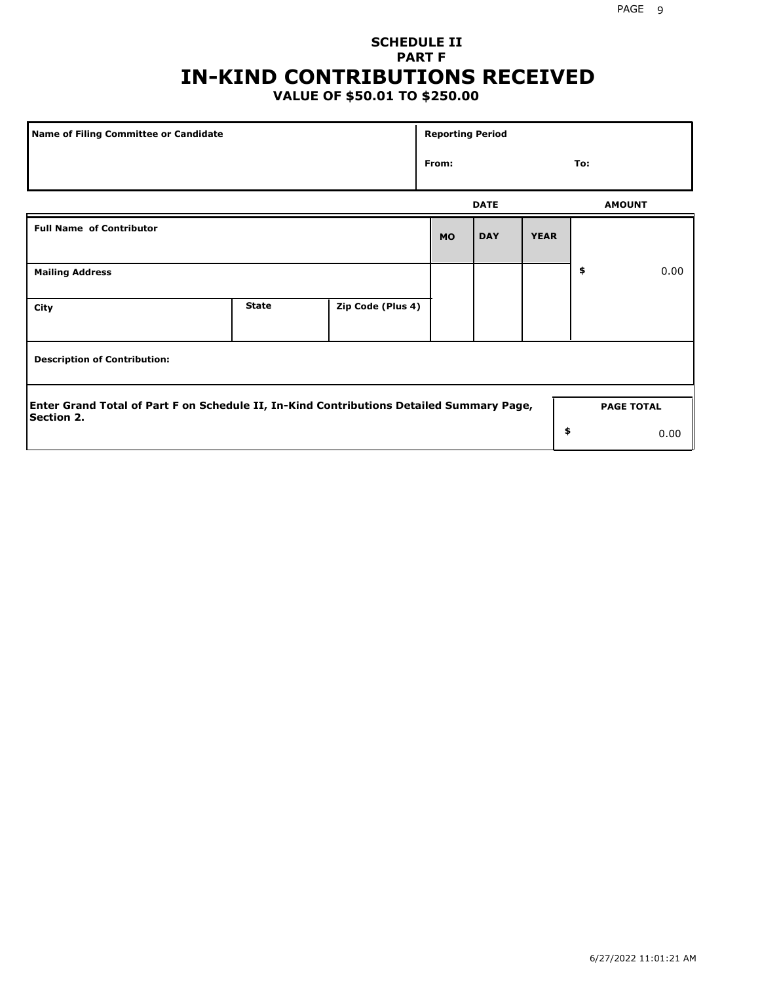# **SCHEDULE II PART F IN-KIND CONTRIBUTIONS RECEIVED**

# **VALUE OF \$50.01 TO \$250.00**

| Name of Filing Committee or Candidate                                                                         |              |                   |           | <b>Reporting Period</b> |             |                   |      |  |  |
|---------------------------------------------------------------------------------------------------------------|--------------|-------------------|-----------|-------------------------|-------------|-------------------|------|--|--|
|                                                                                                               | From:        |                   |           | To:                     |             |                   |      |  |  |
|                                                                                                               |              |                   |           | <b>DATE</b>             |             | <b>AMOUNT</b>     |      |  |  |
| <b>Full Name of Contributor</b>                                                                               |              |                   | <b>MO</b> | <b>DAY</b>              | <b>YEAR</b> |                   |      |  |  |
| <b>Mailing Address</b>                                                                                        |              |                   |           |                         |             | \$                | 0.00 |  |  |
| City                                                                                                          | <b>State</b> | Zip Code (Plus 4) |           |                         |             |                   |      |  |  |
| <b>Description of Contribution:</b>                                                                           |              |                   |           |                         |             |                   |      |  |  |
| Enter Grand Total of Part F on Schedule II, In-Kind Contributions Detailed Summary Page,<br><b>Section 2.</b> |              |                   |           |                         |             | <b>PAGE TOTAL</b> |      |  |  |
|                                                                                                               |              |                   |           |                         | \$          |                   | 0.00 |  |  |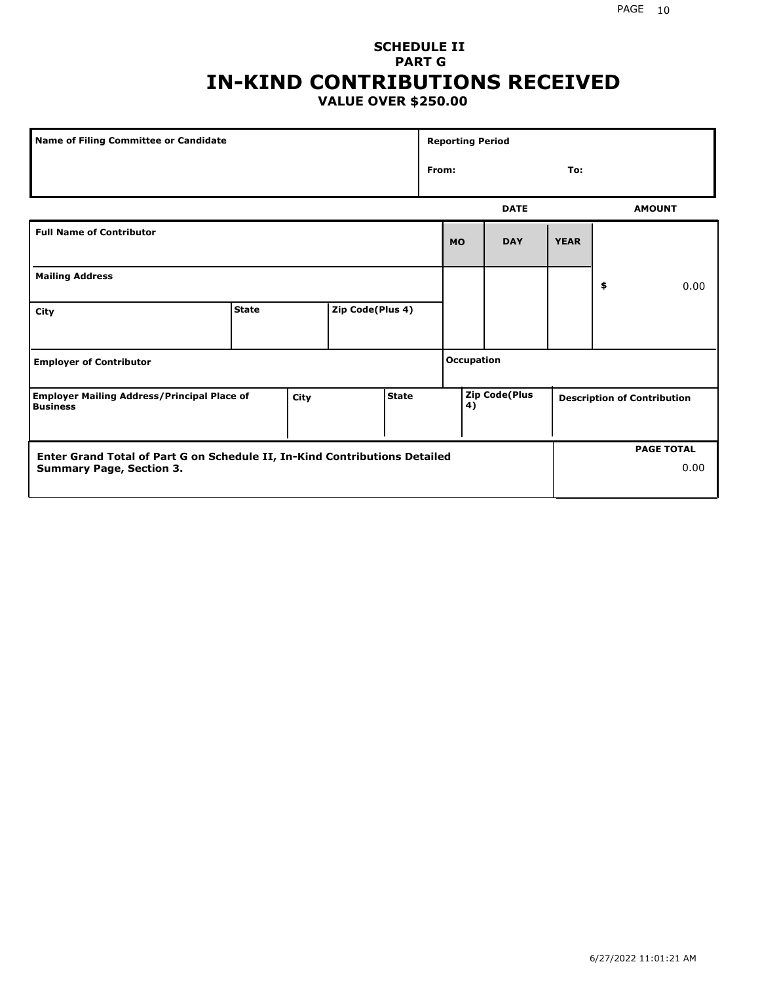## **SCHEDULE II PART G IN-KIND CONTRIBUTIONS RECEIVED VALUE OVER \$250.00**

| Name of Filing Committee or Candidate                                 |              |      |                  |              | <b>Reporting Period</b> |                                                           |             |             |    |               |
|-----------------------------------------------------------------------|--------------|------|------------------|--------------|-------------------------|-----------------------------------------------------------|-------------|-------------|----|---------------|
|                                                                       |              |      |                  |              | From:<br>To:            |                                                           |             |             |    |               |
|                                                                       |              |      |                  |              |                         |                                                           | <b>DATE</b> |             |    | <b>AMOUNT</b> |
| <b>Full Name of Contributor</b>                                       |              |      |                  |              |                         | <b>MO</b>                                                 | <b>DAY</b>  | <b>YEAR</b> |    |               |
| <b>Mailing Address</b>                                                |              |      |                  |              |                         |                                                           |             |             | \$ | 0.00          |
| <b>City</b>                                                           | <b>State</b> |      | Zip Code(Plus 4) |              |                         |                                                           |             |             |    |               |
| <b>Employer of Contributor</b>                                        |              |      |                  |              | <b>Occupation</b>       |                                                           |             |             |    |               |
| <b>Employer Mailing Address/Principal Place of</b><br><b>Business</b> |              | City |                  | <b>State</b> |                         | Zip Code(Plus<br><b>Description of Contribution</b><br>4) |             |             |    |               |

| Enter Grand Total of Part G on Schedule II, In-Kind Contributions Detailed |  | <b>PAGE TOTAL</b> |
|----------------------------------------------------------------------------|--|-------------------|
| <b>Summary Page, Section 3.</b>                                            |  | 0.00              |
|                                                                            |  |                   |